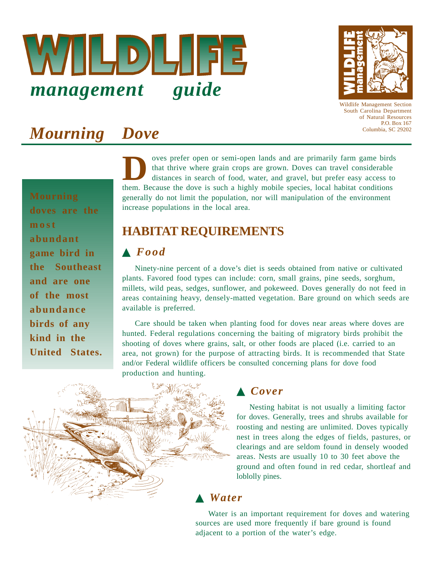



Wildlife Management Section South Carolina Department of Natural Resources P.O. Box 167 Columbia, SC 29202

# *Mourning Dove*

**doves are the most abundant game bird in the Southeast and are one of the most abundance birds of any kind in the United States.**

oves prefer open or semi-open lands and are primarily farm game birds that thrive where grain crops are grown. Doves can travel considerable distances in search of food, water, and gravel, but prefer easy access to Them. Because the dove is such a highly mobile species, local habitat conditions are them. Because the dove is such a highly mobile species, local habitat conditions generally do not limit the population, nor will manipulation of the environment increase populations in the local area.

# **HABITAT REQUIREMENTS**

### ▲ *Food*

Ninety-nine percent of a dove's diet is seeds obtained from native or cultivated plants. Favored food types can include: corn, small grains, pine seeds, sorghum, millets, wild peas, sedges, sunflower, and pokeweed. Doves generally do not feed in areas containing heavy, densely-matted vegetation. Bare ground on which seeds are available is preferred.

Care should be taken when planting food for doves near areas where doves are hunted. Federal regulations concerning the baiting of migratory birds prohibit the shooting of doves where grains, salt, or other foods are placed (i.e. carried to an area, not grown) for the purpose of attracting birds. It is recommended that State and/or Federal wildlife officers be consulted concerning plans for dove food production and hunting.



#### ▲ *Cover*

Nesting habitat is not usually a limiting factor for doves. Generally, trees and shrubs available for roosting and nesting are unlimited. Doves typically nest in trees along the edges of fields, pastures, or clearings and are seldom found in densely wooded areas. Nests are usually 10 to 30 feet above the ground and often found in red cedar, shortleaf and loblolly pines.

## ▲ *Water*

Water is an important requirement for doves and watering sources are used more frequently if bare ground is found adjacent to a portion of the water's edge.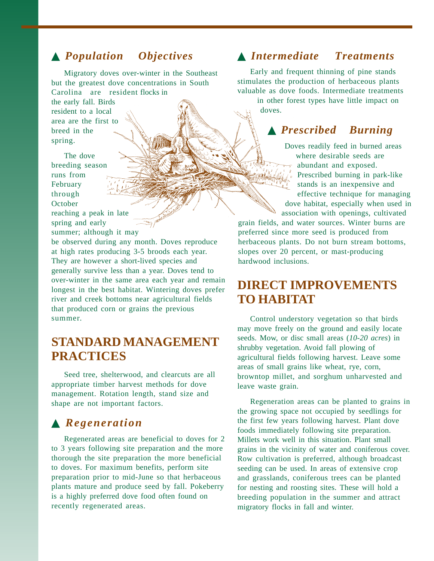## ▲ *Population Objectives*

Migratory doves over-winter in the Southeast but the greatest dove concentrations in South Carolina are resident flocks in the early fall. Birds resident to a local area are the first to breed in the

The dove breeding season runs from February through October reaching a peak in late spring and early

spring.

summer; although it may

be observed during any month. Doves reproduce at high rates producing 3-5 broods each year. They are however a short-lived species and generally survive less than a year. Doves tend to over-winter in the same area each year and remain longest in the best habitat. Wintering doves prefer river and creek bottoms near agricultural fields that produced corn or grains the previous summer.

## **STANDARD MANAGEMENT PRACTICES**

Seed tree, shelterwood, and clearcuts are all appropriate timber harvest methods for dove management. Rotation length, stand size and shape are not important factors.

#### ▲ *Regeneration*

Regenerated areas are beneficial to doves for 2 to 3 years following site preparation and the more thorough the site preparation the more beneficial to doves. For maximum benefits, perform site preparation prior to mid-June so that herbaceous plants mature and produce seed by fall. Pokeberry is a highly preferred dove food often found on recently regenerated areas.

#### ▲ *Intermediate Treatments*

Early and frequent thinning of pine stands stimulates the production of herbaceous plants valuable as dove foods. Intermediate treatments

in other forest types have little impact on doves.

#### ▲ *Prescribed Burning*

Doves readily feed in burned areas where desirable seeds are abundant and exposed. Prescribed burning in park-like stands is an inexpensive and effective technique for managing dove habitat, especially when used in association with openings, cultivated

grain fields, and water sources. Winter burns are preferred since more seed is produced from herbaceous plants. Do not burn stream bottoms, slopes over 20 percent, or mast-producing hardwood inclusions.

## **DIRECT IMPROVEMENTS TO HABITAT**

Control understory vegetation so that birds may move freely on the ground and easily locate seeds. Mow, or disc small areas (*10-20 acres*) in shrubby vegetation. Avoid fall plowing of agricultural fields following harvest. Leave some areas of small grains like wheat, rye, corn, browntop millet, and sorghum unharvested and leave waste grain.

Regeneration areas can be planted to grains in the growing space not occupied by seedlings for the first few years following harvest. Plant dove foods immediately following site preparation. Millets work well in this situation. Plant small grains in the vicinity of water and coniferous cover. Row cultivation is preferred, although broadcast seeding can be used. In areas of extensive crop and grasslands, coniferous trees can be planted for nesting and roosting sites. These will hold a breeding population in the summer and attract migratory flocks in fall and winter.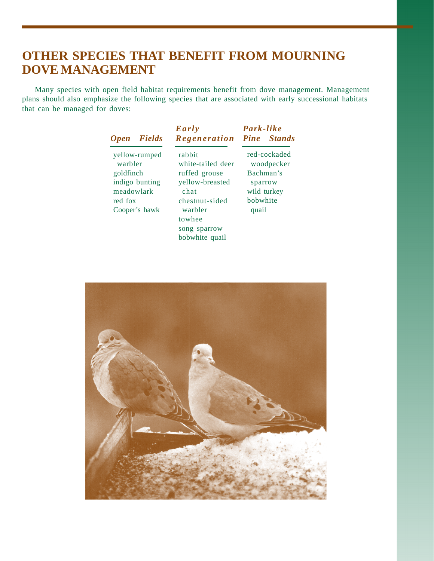# **OTHER SPECIES THAT BENEFIT FROM MOURNING DOVE MANAGEMENT**

Many species with open field habitat requirements benefit from dove management. Management plans should also emphasize the following species that are associated with early successional habitats that can be managed for doves:

| <b>Open</b>                                                                                       | <b>Fields</b> | Early<br>Regeneration                                                                                          | Park-like<br><b>Pine</b> Stands                                                        |
|---------------------------------------------------------------------------------------------------|---------------|----------------------------------------------------------------------------------------------------------------|----------------------------------------------------------------------------------------|
| yellow-rumped<br>warbler<br>goldfinch<br>indigo bunting<br>meadowlark<br>red fox<br>Cooper's hawk |               | rabbit<br>white-tailed deer<br>ruffed grouse<br>yellow-breasted<br>chat<br>chestnut-sided<br>warbler<br>towhee | red-cockaded<br>woodpecker<br>Bachman's<br>sparrow<br>wild turkey<br>bobwhite<br>quail |
|                                                                                                   |               | song sparrow<br>bobwhite quail                                                                                 |                                                                                        |